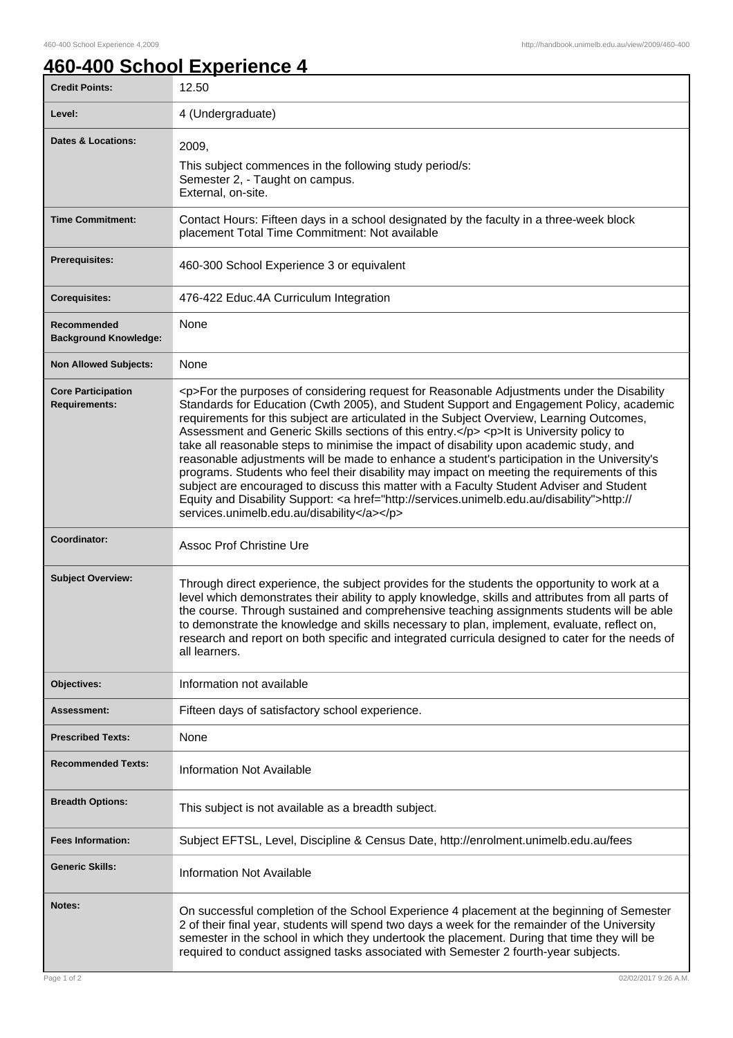## **460-400 School Experience 4**

| <b>Credit Points:</b>                             | 12.50                                                                                                                                                                                                                                                                                                                                                                                                                                                                                                                                                                                                                                                                                                                                                                                                                                                                                                                        |
|---------------------------------------------------|------------------------------------------------------------------------------------------------------------------------------------------------------------------------------------------------------------------------------------------------------------------------------------------------------------------------------------------------------------------------------------------------------------------------------------------------------------------------------------------------------------------------------------------------------------------------------------------------------------------------------------------------------------------------------------------------------------------------------------------------------------------------------------------------------------------------------------------------------------------------------------------------------------------------------|
| Level:                                            | 4 (Undergraduate)                                                                                                                                                                                                                                                                                                                                                                                                                                                                                                                                                                                                                                                                                                                                                                                                                                                                                                            |
| <b>Dates &amp; Locations:</b>                     | 2009,<br>This subject commences in the following study period/s:<br>Semester 2, - Taught on campus.<br>External, on-site.                                                                                                                                                                                                                                                                                                                                                                                                                                                                                                                                                                                                                                                                                                                                                                                                    |
| <b>Time Commitment:</b>                           | Contact Hours: Fifteen days in a school designated by the faculty in a three-week block<br>placement Total Time Commitment: Not available                                                                                                                                                                                                                                                                                                                                                                                                                                                                                                                                                                                                                                                                                                                                                                                    |
| <b>Prerequisites:</b>                             | 460-300 School Experience 3 or equivalent                                                                                                                                                                                                                                                                                                                                                                                                                                                                                                                                                                                                                                                                                                                                                                                                                                                                                    |
| <b>Corequisites:</b>                              | 476-422 Educ.4A Curriculum Integration                                                                                                                                                                                                                                                                                                                                                                                                                                                                                                                                                                                                                                                                                                                                                                                                                                                                                       |
| Recommended<br><b>Background Knowledge:</b>       | None                                                                                                                                                                                                                                                                                                                                                                                                                                                                                                                                                                                                                                                                                                                                                                                                                                                                                                                         |
| <b>Non Allowed Subjects:</b>                      | None                                                                                                                                                                                                                                                                                                                                                                                                                                                                                                                                                                                                                                                                                                                                                                                                                                                                                                                         |
| <b>Core Participation</b><br><b>Requirements:</b> | <p>For the purposes of considering request for Reasonable Adjustments under the Disability<br/>Standards for Education (Cwth 2005), and Student Support and Engagement Policy, academic<br/>requirements for this subject are articulated in the Subject Overview, Learning Outcomes,<br/>Assessment and Generic Skills sections of this entry.</p> <p>lt is University policy to<br/>take all reasonable steps to minimise the impact of disability upon academic study, and<br/>reasonable adjustments will be made to enhance a student's participation in the University's<br/>programs. Students who feel their disability may impact on meeting the requirements of this<br/>subject are encouraged to discuss this matter with a Faculty Student Adviser and Student<br/>Equity and Disability Support: &lt; a href="http://services.unimelb.edu.au/disability"&gt;http://<br/>services.unimelb.edu.au/disability</p> |
| Coordinator:                                      | <b>Assoc Prof Christine Ure</b>                                                                                                                                                                                                                                                                                                                                                                                                                                                                                                                                                                                                                                                                                                                                                                                                                                                                                              |
| <b>Subject Overview:</b>                          | Through direct experience, the subject provides for the students the opportunity to work at a<br>level which demonstrates their ability to apply knowledge, skills and attributes from all parts of<br>the course. Through sustained and comprehensive teaching assignments students will be able<br>to demonstrate the knowledge and skills necessary to plan, implement, evaluate, reflect on,<br>research and report on both specific and integrated curricula designed to cater for the needs of<br>all learners.                                                                                                                                                                                                                                                                                                                                                                                                        |
| Objectives:                                       | Information not available                                                                                                                                                                                                                                                                                                                                                                                                                                                                                                                                                                                                                                                                                                                                                                                                                                                                                                    |
| Assessment:                                       | Fifteen days of satisfactory school experience.                                                                                                                                                                                                                                                                                                                                                                                                                                                                                                                                                                                                                                                                                                                                                                                                                                                                              |
| <b>Prescribed Texts:</b>                          | None                                                                                                                                                                                                                                                                                                                                                                                                                                                                                                                                                                                                                                                                                                                                                                                                                                                                                                                         |
| <b>Recommended Texts:</b>                         | <b>Information Not Available</b>                                                                                                                                                                                                                                                                                                                                                                                                                                                                                                                                                                                                                                                                                                                                                                                                                                                                                             |
| <b>Breadth Options:</b>                           | This subject is not available as a breadth subject.                                                                                                                                                                                                                                                                                                                                                                                                                                                                                                                                                                                                                                                                                                                                                                                                                                                                          |
| <b>Fees Information:</b>                          | Subject EFTSL, Level, Discipline & Census Date, http://enrolment.unimelb.edu.au/fees                                                                                                                                                                                                                                                                                                                                                                                                                                                                                                                                                                                                                                                                                                                                                                                                                                         |
| <b>Generic Skills:</b>                            | <b>Information Not Available</b>                                                                                                                                                                                                                                                                                                                                                                                                                                                                                                                                                                                                                                                                                                                                                                                                                                                                                             |
| Notes:                                            | On successful completion of the School Experience 4 placement at the beginning of Semester<br>2 of their final year, students will spend two days a week for the remainder of the University<br>semester in the school in which they undertook the placement. During that time they will be<br>required to conduct assigned tasks associated with Semester 2 fourth-year subjects.                                                                                                                                                                                                                                                                                                                                                                                                                                                                                                                                           |
| Page 1 of 2                                       | 02/02/2017 9:26 A.M.                                                                                                                                                                                                                                                                                                                                                                                                                                                                                                                                                                                                                                                                                                                                                                                                                                                                                                         |